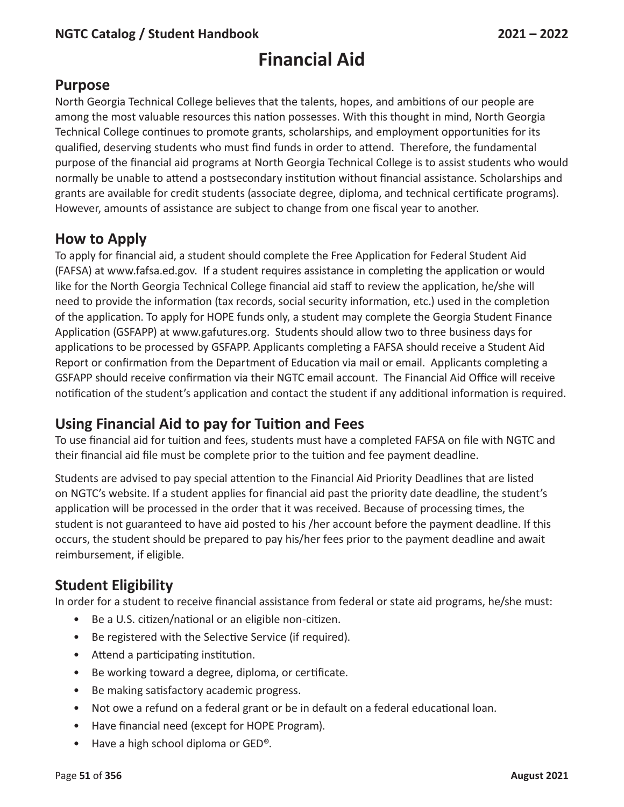# **Financial Aid**

# **Purpose**

North Georgia Technical College believes that the talents, hopes, and ambitions of our people are among the most valuable resources this nation possesses. With this thought in mind, North Georgia Technical College continues to promote grants, scholarships, and employment opportunities for its qualified, deserving students who must find funds in order to attend. Therefore, the fundamental purpose of the financial aid programs at North Georgia Technical College is to assist students who would normally be unable to attend a postsecondary institution without financial assistance. Scholarships and grants are available for credit students (associate degree, diploma, and technical certificate programs). However, amounts of assistance are subject to change from one fiscal year to another.

# **How to Apply**

To apply for financial aid, a student should complete the Free Application for Federal Student Aid (FAFSA) at www.fafsa.ed.gov. If a student requires assistance in completing the application or would like for the North Georgia Technical College financial aid staff to review the application, he/she will need to provide the information (tax records, social security information, etc.) used in the completion of the application. To apply for HOPE funds only, a student may complete the Georgia Student Finance Application (GSFAPP) at www.gafutures.org. Students should allow two to three business days for applications to be processed by GSFAPP. Applicants completing a FAFSA should receive a Student Aid Report or confirmation from the Department of Education via mail or email. Applicants completing a GSFAPP should receive confirmation via their NGTC email account. The Financial Aid Office will receive notification of the student's application and contact the student if any additional information is required.

# **Using Financial Aid to pay for Tuition and Fees**

To use financial aid for tuition and fees, students must have a completed FAFSA on file with NGTC and their financial aid file must be complete prior to the tuition and fee payment deadline.

Students are advised to pay special attention to the Financial Aid Priority Deadlines that are listed on NGTC's website. If a student applies for financial aid past the priority date deadline, the student's application will be processed in the order that it was received. Because of processing times, the student is not guaranteed to have aid posted to his /her account before the payment deadline. If this occurs, the student should be prepared to pay his/her fees prior to the payment deadline and await reimbursement, if eligible.

# **Student Eligibility**

In order for a student to receive financial assistance from federal or state aid programs, he/she must:

- Be a U.S. citizen/national or an eligible non-citizen.
- Be registered with the Selective Service (if required).
- Attend a participating institution.
- Be working toward a degree, diploma, or certificate.
- Be making satisfactory academic progress.
- Not owe a refund on a federal grant or be in default on a federal educational loan.
- Have financial need (except for HOPE Program).
- Have a high school diploma or GED<sup>®</sup>.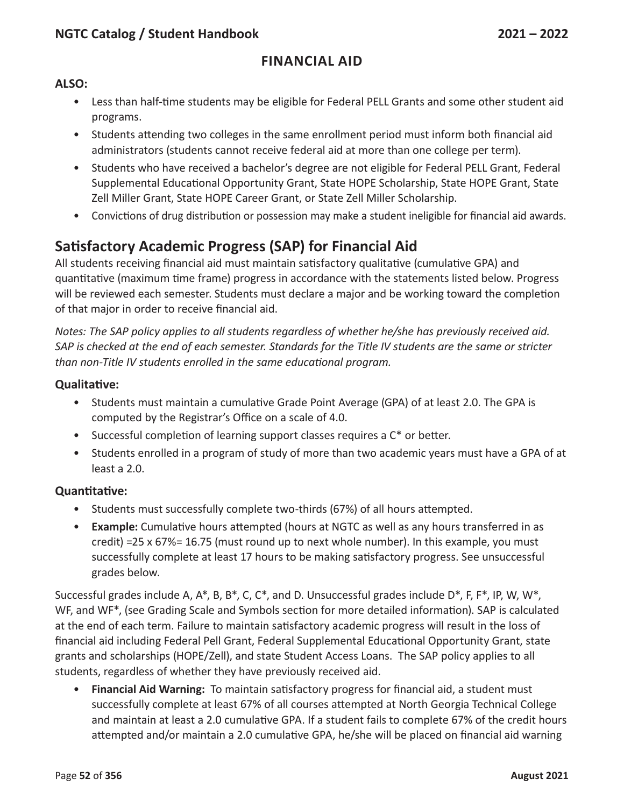## **Financial Aid**

#### **ALSO:**

- Less than half-time students may be eligible for Federal PELL Grants and some other student aid programs.
- Students attending two colleges in the same enrollment period must inform both financial aid administrators (students cannot receive federal aid at more than one college per term).
- Students who have received a bachelor's degree are not eligible for Federal PELL Grant, Federal Supplemental Educational Opportunity Grant, State HOPE Scholarship, State HOPE Grant, State Zell Miller Grant, State HOPE Career Grant, or State Zell Miller Scholarship.
- Convictions of drug distribution or possession may make a student ineligible for financial aid awards.

# **Satisfactory Academic Progress (SAP) for Financial Aid**

All students receiving financial aid must maintain satisfactory qualitative (cumulative GPA) and quantitative (maximum time frame) progress in accordance with the statements listed below. Progress will be reviewed each semester. Students must declare a major and be working toward the completion of that major in order to receive financial aid.

*Notes: The SAP policy applies to all students regardless of whether he/she has previously received aid.* SAP is checked at the end of each semester. Standards for the Title IV students are the same or stricter *than non-Title IV students enrolled in the same educational program.*

#### **Qualitative:**

- Students must maintain a cumulative Grade Point Average (GPA) of at least 2.0. The GPA is computed by the Registrar's Office on a scale of 4.0.
- Successful completion of learning support classes requires a  $C^*$  or better.
- Students enrolled in a program of study of more than two academic years must have a GPA of at least a 2.0.

#### **Quantitative:**

- Students must successfully complete two-thirds (67%) of all hours attempted.
- **Example:** Cumulative hours attempted (hours at NGTC as well as any hours transferred in as credit) =25 x 67%= 16.75 (must round up to next whole number). In this example, you must successfully complete at least 17 hours to be making satisfactory progress. See unsuccessful grades below.

Successful grades include A, A\*, B, B\*, C, C\*, and D. Unsuccessful grades include D\*, F, F\*, IP, W, W\*, WF, and WF\*, (see Grading Scale and Symbols section for more detailed information). SAP is calculated at the end of each term. Failure to maintain satisfactory academic progress will result in the loss of financial aid including Federal Pell Grant, Federal Supplemental Educational Opportunity Grant, state grants and scholarships (HOPE/Zell), and state Student Access Loans. The SAP policy applies to all students, regardless of whether they have previously received aid.

• **Financial Aid Warning:** To maintain satisfactory progress for financial aid, a student must successfully complete at least 67% of all courses attempted at North Georgia Technical College and maintain at least a 2.0 cumulative GPA. If a student fails to complete 67% of the credit hours attempted and/or maintain a 2.0 cumulative GPA, he/she will be placed on financial aid warning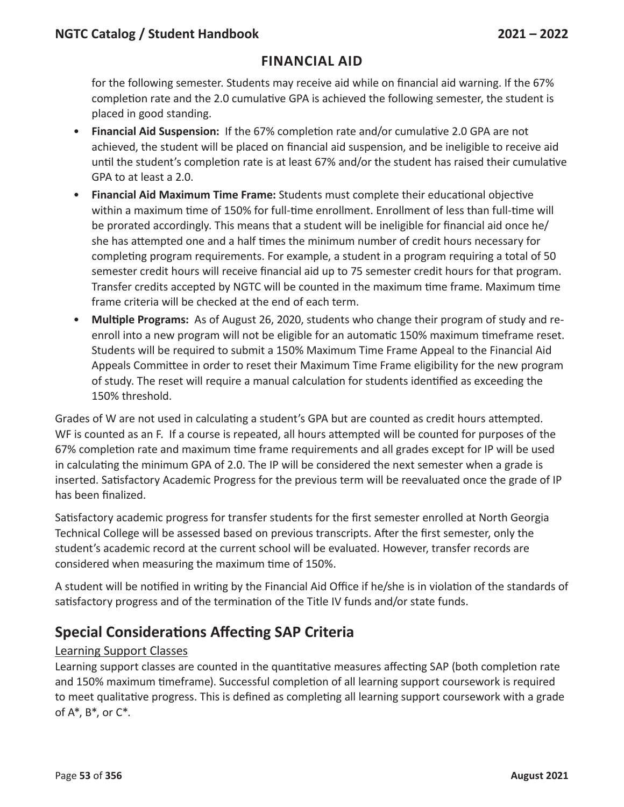for the following semester. Students may receive aid while on financial aid warning. If the 67% completion rate and the 2.0 cumulative GPA is achieved the following semester, the student is placed in good standing.

- **Financial Aid Suspension:** If the 67% completion rate and/or cumulative 2.0 GPA are not achieved, the student will be placed on financial aid suspension, and be ineligible to receive aid until the student's completion rate is at least 67% and/or the student has raised their cumulative GPA to at least a 2.0.
- **Financial Aid Maximum Time Frame:** Students must complete their educational objective within a maximum time of 150% for full-time enrollment. Enrollment of less than full-time will be prorated accordingly. This means that a student will be ineligible for financial aid once he/ she has attempted one and a half times the minimum number of credit hours necessary for completing program requirements. For example, a student in a program requiring a total of 50 semester credit hours will receive financial aid up to 75 semester credit hours for that program. Transfer credits accepted by NGTC will be counted in the maximum time frame. Maximum time frame criteria will be checked at the end of each term.
- **Multiple Programs:** As of August 26, 2020, students who change their program of study and reenroll into a new program will not be eligible for an automatic 150% maximum timeframe reset. Students will be required to submit a 150% Maximum Time Frame Appeal to the Financial Aid Appeals Committee in order to reset their Maximum Time Frame eligibility for the new program of study. The reset will require a manual calculation for students identified as exceeding the 150% threshold.

Grades of W are not used in calculating a student's GPA but are counted as credit hours attempted. WF is counted as an F. If a course is repeated, all hours attempted will be counted for purposes of the 67% completion rate and maximum time frame requirements and all grades except for IP will be used in calculating the minimum GPA of 2.0. The IP will be considered the next semester when a grade is inserted. Satisfactory Academic Progress for the previous term will be reevaluated once the grade of IP has been finalized.

Satisfactory academic progress for transfer students for the first semester enrolled at North Georgia Technical College will be assessed based on previous transcripts. After the first semester, only the student's academic record at the current school will be evaluated. However, transfer records are considered when measuring the maximum time of 150%.

A student will be notified in writing by the Financial Aid Office if he/she is in violation of the standards of satisfactory progress and of the termination of the Title IV funds and/or state funds.

# **Special Considerations Affecting SAP Criteria**

### Learning Support Classes

Learning support classes are counted in the quantitative measures affecting SAP (both completion rate and 150% maximum timeframe). Successful completion of all learning support coursework is required to meet qualitative progress. This is defined as completing all learning support coursework with a grade of A\*, B\*, or C\*.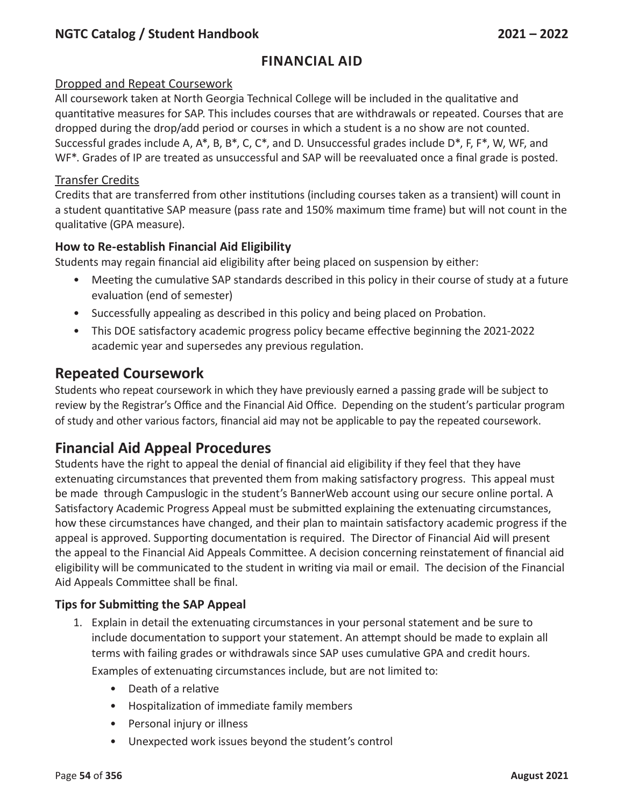## **Financial Aid**

#### Dropped and Repeat Coursework

All coursework taken at North Georgia Technical College will be included in the qualitative and quantitative measures for SAP. This includes courses that are withdrawals or repeated. Courses that are dropped during the drop/add period or courses in which a student is a no show are not counted. Successful grades include A, A\*, B, B\*, C, C\*, and D. Unsuccessful grades include D\*, F, F\*, W, WF, and WF<sup>\*</sup>. Grades of IP are treated as unsuccessful and SAP will be reevaluated once a final grade is posted.

#### Transfer Credits

Credits that are transferred from other institutions (including courses taken as a transient) will count in a student quantitative SAP measure (pass rate and 150% maximum time frame) but will not count in the qualitative (GPA measure).

#### **How to Re-establish Financial Aid Eligibility**

Students may regain financial aid eligibility after being placed on suspension by either:

- Meeting the cumulative SAP standards described in this policy in their course of study at a future evaluation (end of semester)
- Successfully appealing as described in this policy and being placed on Probation.
- This DOE satisfactory academic progress policy became effective beginning the 2021-2022 academic year and supersedes any previous regulation.

# **Repeated Coursework**

Students who repeat coursework in which they have previously earned a passing grade will be subject to review by the Registrar's Office and the Financial Aid Office. Depending on the student's particular program of study and other various factors, financial aid may not be applicable to pay the repeated coursework.

# **Financial Aid Appeal Procedures**

Students have the right to appeal the denial of financial aid eligibility if they feel that they have extenuating circumstances that prevented them from making satisfactory progress. This appeal must be made through Campuslogic in the student's BannerWeb account using our secure online portal. A Satisfactory Academic Progress Appeal must be submitted explaining the extenuating circumstances, how these circumstances have changed, and their plan to maintain satisfactory academic progress if the appeal is approved. Supporting documentation is required. The Director of Financial Aid will present the appeal to the Financial Aid Appeals Committee. A decision concerning reinstatement of financial aid eligibility will be communicated to the student in writing via mail or email. The decision of the Financial Aid Appeals Committee shall be final.

#### **Tips for Submitting the SAP Appeal**

- 1. Explain in detail the extenuating circumstances in your personal statement and be sure to include documentation to support your statement. An attempt should be made to explain all terms with failing grades or withdrawals since SAP uses cumulative GPA and credit hours. Examples of extenuating circumstances include, but are not limited to:
	- Death of a relative
	- Hospitalization of immediate family members
	- Personal injury or illness
	- Unexpected work issues beyond the student's control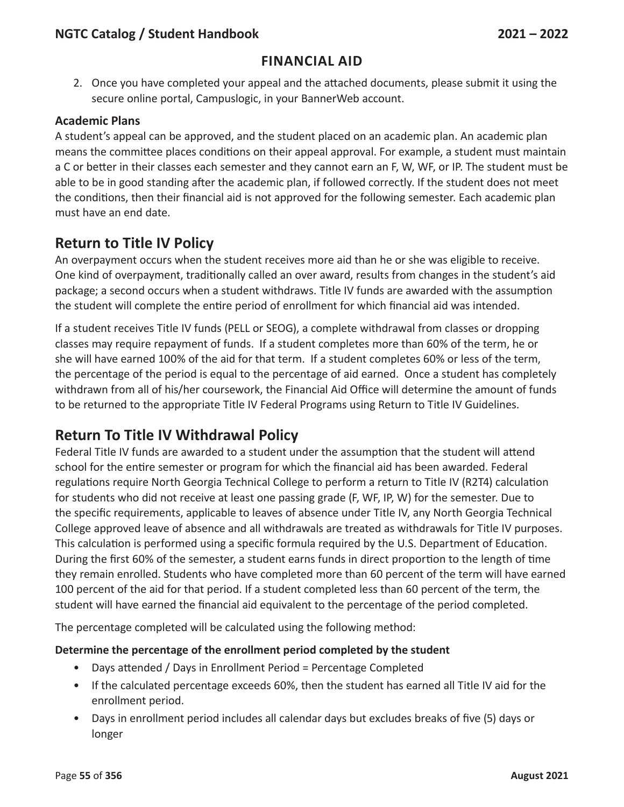## **Financial Aid**

2. Once you have completed your appeal and the attached documents, please submit it using the secure online portal, Campuslogic, in your BannerWeb account.

#### **Academic Plans**

A student's appeal can be approved, and the student placed on an academic plan. An academic plan means the committee places conditions on their appeal approval. For example, a student must maintain a C or better in their classes each semester and they cannot earn an F, W, WF, or IP. The student must be able to be in good standing after the academic plan, if followed correctly. If the student does not meet the conditions, then their financial aid is not approved for the following semester. Each academic plan must have an end date.

# **Return to Title IV Policy**

An overpayment occurs when the student receives more aid than he or she was eligible to receive. One kind of overpayment, traditionally called an over award, results from changes in the student's aid package; a second occurs when a student withdraws. Title IV funds are awarded with the assumption the student will complete the entire period of enrollment for which financial aid was intended.

If a student receives Title IV funds (PELL or SEOG), a complete withdrawal from classes or dropping classes may require repayment of funds. If a student completes more than 60% of the term, he or she will have earned 100% of the aid for that term. If a student completes 60% or less of the term, the percentage of the period is equal to the percentage of aid earned. Once a student has completely withdrawn from all of his/her coursework, the Financial Aid Office will determine the amount of funds to be returned to the appropriate Title IV Federal Programs using Return to Title IV Guidelines.

## **Return To Title IV Withdrawal Policy**

Federal Title IV funds are awarded to a student under the assumption that the student will attend school for the entire semester or program for which the financial aid has been awarded. Federal regulations require North Georgia Technical College to perform a return to Title IV (R2T4) calculation for students who did not receive at least one passing grade (F, WF, IP, W) for the semester. Due to the specific requirements, applicable to leaves of absence under Title IV, any North Georgia Technical College approved leave of absence and all withdrawals are treated as withdrawals for Title IV purposes. This calculation is performed using a specific formula required by the U.S. Department of Education. During the first 60% of the semester, a student earns funds in direct proportion to the length of time they remain enrolled. Students who have completed more than 60 percent of the term will have earned 100 percent of the aid for that period. If a student completed less than 60 percent of the term, the student will have earned the financial aid equivalent to the percentage of the period completed.

The percentage completed will be calculated using the following method:

#### **Determine the percentage of the enrollment period completed by the student**

- Days attended / Days in Enrollment Period = Percentage Completed
- If the calculated percentage exceeds 60%, then the student has earned all Title IV aid for the enrollment period.
- Days in enrollment period includes all calendar days but excludes breaks of five (5) days or longer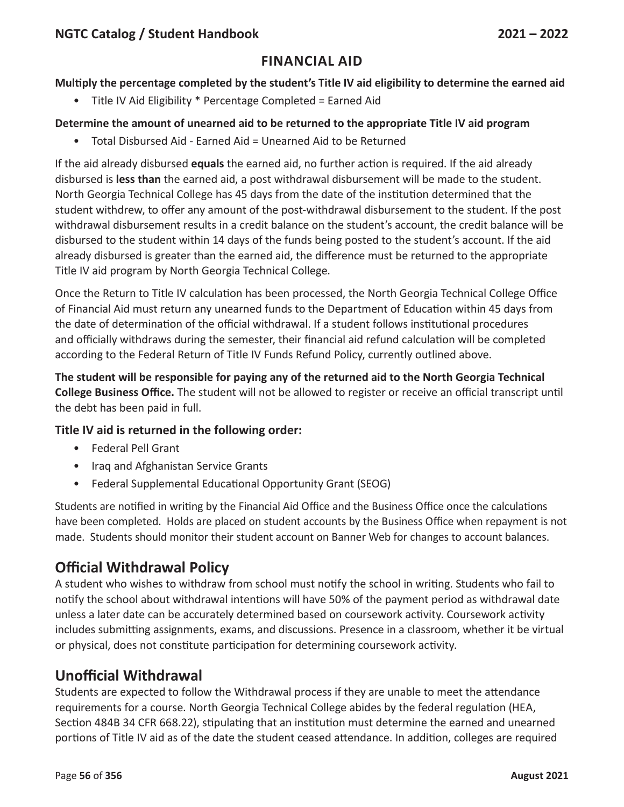#### **Multiply the percentage completed by the student's Title IV aid eligibility to determine the earned aid**

• Title IV Aid Eligibility \* Percentage Completed = Earned Aid

#### **Determine the amount of unearned aid to be returned to the appropriate Title IV aid program**

• Total Disbursed Aid - Earned Aid = Unearned Aid to be Returned

If the aid already disbursed **equals** the earned aid, no further action is required. If the aid already disbursed is **less than** the earned aid, a post withdrawal disbursement will be made to the student. North Georgia Technical College has 45 days from the date of the institution determined that the student withdrew, to offer any amount of the post-withdrawal disbursement to the student. If the post withdrawal disbursement results in a credit balance on the student's account, the credit balance will be disbursed to the student within 14 days of the funds being posted to the student's account. If the aid already disbursed is greater than the earned aid, the difference must be returned to the appropriate Title IV aid program by North Georgia Technical College.

Once the Return to Title IV calculation has been processed, the North Georgia Technical College Office of Financial Aid must return any unearned funds to the Department of Education within 45 days from the date of determination of the official withdrawal. If a student follows institutional procedures and officially withdraws during the semester, their financial aid refund calculation will be completed according to the Federal Return of Title IV Funds Refund Policy, currently outlined above.

**The student will be responsible for paying any of the returned aid to the North Georgia Technical College Business Office.** The student will not be allowed to register or receive an official transcript until the debt has been paid in full.

### **Title IV aid is returned in the following order:**

- Federal Pell Grant
- Iraq and Afghanistan Service Grants
- Federal Supplemental Educational Opportunity Grant (SEOG)

Students are notified in writing by the Financial Aid Office and the Business Office once the calculations have been completed. Holds are placed on student accounts by the Business Office when repayment is not made. Students should monitor their student account on Banner Web for changes to account balances.

# **Official Withdrawal Policy**

A student who wishes to withdraw from school must notify the school in writing. Students who fail to notify the school about withdrawal intentions will have 50% of the payment period as withdrawal date unless a later date can be accurately determined based on coursework activity. Coursework activity includes submitting assignments, exams, and discussions. Presence in a classroom, whether it be virtual or physical, does not constitute participation for determining coursework activity.

# **Unofficial Withdrawal**

Students are expected to follow the Withdrawal process if they are unable to meet the attendance requirements for a course. North Georgia Technical College abides by the federal regulation (HEA, Section 484B 34 CFR 668.22), stipulating that an institution must determine the earned and unearned portions of Title IV aid as of the date the student ceased attendance. In addition, colleges are required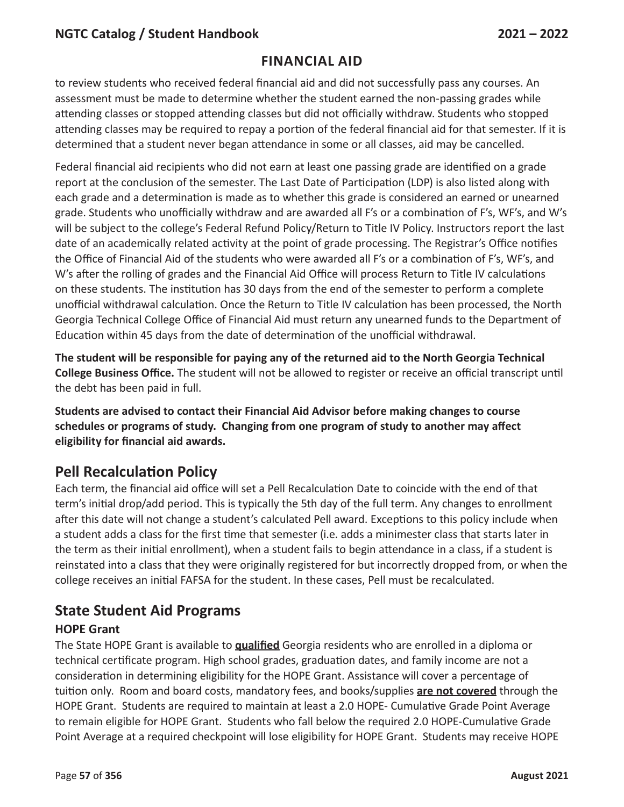## **Financial Aid**

to review students who received federal financial aid and did not successfully pass any courses. An assessment must be made to determine whether the student earned the non-passing grades while attending classes or stopped attending classes but did not officially withdraw. Students who stopped attending classes may be required to repay a portion of the federal financial aid for that semester. If it is determined that a student never began attendance in some or all classes, aid may be cancelled.

Federal financial aid recipients who did not earn at least one passing grade are identified on a grade report at the conclusion of the semester. The Last Date of Participation (LDP) is also listed along with each grade and a determination is made as to whether this grade is considered an earned or unearned grade. Students who unofficially withdraw and are awarded all F's or a combination of F's, WF's, and W's will be subject to the college's Federal Refund Policy/Return to Title IV Policy. Instructors report the last date of an academically related activity at the point of grade processing. The Registrar's Office notifies the Office of Financial Aid of the students who were awarded all F's or a combination of F's, WF's, and W's after the rolling of grades and the Financial Aid Office will process Return to Title IV calculations on these students. The institution has 30 days from the end of the semester to perform a complete unofficial withdrawal calculation. Once the Return to Title IV calculation has been processed, the North Georgia Technical College Office of Financial Aid must return any unearned funds to the Department of Education within 45 days from the date of determination of the unofficial withdrawal.

**The student will be responsible for paying any of the returned aid to the North Georgia Technical College Business Office.** The student will not be allowed to register or receive an official transcript until the debt has been paid in full.

**Students are advised to contact their Financial Aid Advisor before making changes to course schedules or programs of study. Changing from one program of study to another may affect eligibility for financial aid awards.**

# **Pell Recalculation Policy**

Each term, the financial aid office will set a Pell Recalculation Date to coincide with the end of that term's initial drop/add period. This is typically the 5th day of the full term. Any changes to enrollment after this date will not change a student's calculated Pell award. Exceptions to this policy include when a student adds a class for the first time that semester (i.e. adds a minimester class that starts later in the term as their initial enrollment), when a student fails to begin attendance in a class, if a student is reinstated into a class that they were originally registered for but incorrectly dropped from, or when the college receives an initial FAFSA for the student. In these cases, Pell must be recalculated.

# **State Student Aid Programs**

#### **HOPE Grant**

The State HOPE Grant is available to **qualified** Georgia residents who are enrolled in a diploma or technical certificate program. High school grades, graduation dates, and family income are not a consideration in determining eligibility for the HOPE Grant. Assistance will cover a percentage of tuition only. Room and board costs, mandatory fees, and books/supplies **are not covered** through the HOPE Grant. Students are required to maintain at least a 2.0 HOPE- Cumulative Grade Point Average to remain eligible for HOPE Grant. Students who fall below the required 2.0 HOPE-Cumulative Grade Point Average at a required checkpoint will lose eligibility for HOPE Grant. Students may receive HOPE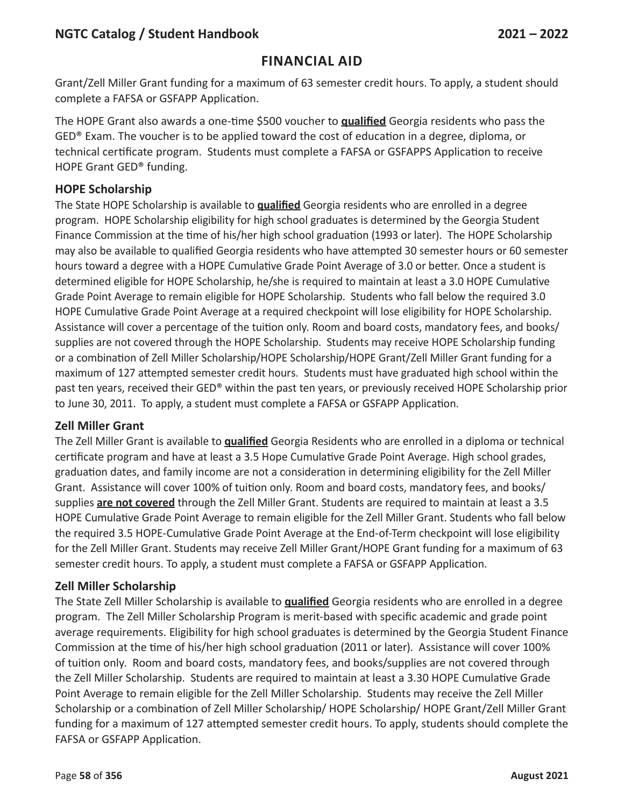### **Financial Aid**

Grant/Zell Miller Grant funding for a maximum of 63 semester credit hours. To apply, a student should complete a FAFSA or GSFAPP Application.

The HOPE Grant also awards a one-time \$500 voucher to **qualified** Georgia residents who pass the GED® Exam. The voucher is to be applied toward the cost of education in a degree, diploma, or technical certificate program. Students must complete a FAFSA or GSFAPPS Application to receive HOPE Grant GED® funding.

#### **HOPE Scholarship**

The State HOPE Scholarship is available to **qualified** Georgia residents who are enrolled in a degree program. HOPE Scholarship eligibility for high school graduates is determined by the Georgia Student Finance Commission at the time of his/her high school graduation (1993 or later). The HOPE Scholarship may also be available to qualified Georgia residents who have attempted 30 semester hours or 60 semester hours toward a degree with a HOPE Cumulative Grade Point Average of 3.0 or better. Once a student is determined eligible for HOPE Scholarship, he/she is required to maintain at least a 3.0 HOPE Cumulative Grade Point Average to remain eligible for HOPE Scholarship. Students who fall below the required 3.0 HOPE Cumulative Grade Point Average at a required checkpoint will lose eligibility for HOPE Scholarship. Assistance will cover a percentage of the tuition only. Room and board costs, mandatory fees, and books/ supplies are not covered through the HOPE Scholarship. Students may receive HOPE Scholarship funding or a combination of Zell Miller Scholarship/HOPE Scholarship/HOPE Grant/Zell Miller Grant funding for a maximum of 127 attempted semester credit hours. Students must have graduated high school within the past ten years, received their GED® within the past ten years, or previously received HOPE Scholarship prior to June 30, 2011. To apply, a student must complete a FAFSA or GSFAPP Application.

#### **Zell Miller Grant**

The Zell Miller Grant is available to **qualified** Georgia Residents who are enrolled in a diploma or technical certificate program and have at least a 3.5 Hope Cumulative Grade Point Average. High school grades, graduation dates, and family income are not a consideration in determining eligibility for the Zell Miller Grant. Assistance will cover 100% of tuition only. Room and board costs, mandatory fees, and books/ supplies **are not covered** through the Zell Miller Grant. Students are required to maintain at least a 3.5 HOPE Cumulative Grade Point Average to remain eligible for the Zell Miller Grant. Students who fall below the required 3.5 HOPE-Cumulative Grade Point Average at the End-of-Term checkpoint will lose eligibility for the Zell Miller Grant. Students may receive Zell Miller Grant/HOPE Grant funding for a maximum of 63 semester credit hours. To apply, a student must complete a FAFSA or GSFAPP Application.

#### **Zell Miller Scholarship**

The State Zell Miller Scholarship is available to **qualified** Georgia residents who are enrolled in a degree program. The Zell Miller Scholarship Program is merit-based with specific academic and grade point average requirements. Eligibility for high school graduates is determined by the Georgia Student Finance Commission at the time of his/her high school graduation (2011 or later). Assistance will cover 100% of tuition only. Room and board costs, mandatory fees, and books/supplies are not covered through the Zell Miller Scholarship. Students are required to maintain at least a 3.30 HOPE Cumulative Grade Point Average to remain eligible for the Zell Miller Scholarship. Students may receive the Zell Miller Scholarship or a combination of Zell Miller Scholarship/ HOPE Scholarship/ HOPE Grant/Zell Miller Grant funding for a maximum of 127 attempted semester credit hours. To apply, students should complete the FAFSA or GSFAPP Application.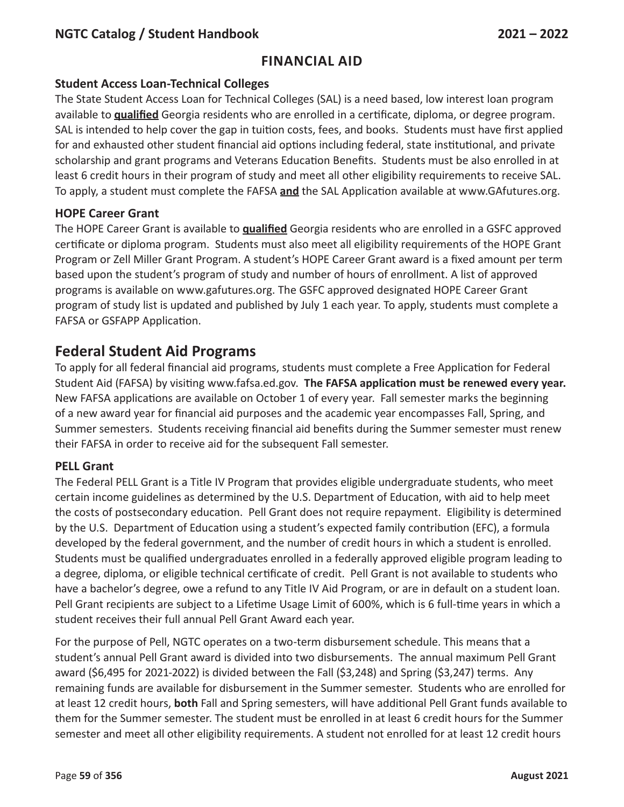#### **Student Access Loan-Technical Colleges**

The State Student Access Loan for Technical Colleges (SAL) is a need based, low interest loan program available to **qualified** Georgia residents who are enrolled in a certificate, diploma, or degree program. SAL is intended to help cover the gap in tuition costs, fees, and books. Students must have first applied for and exhausted other student financial aid options including federal, state institutional, and private scholarship and grant programs and Veterans Education Benefits. Students must be also enrolled in at least 6 credit hours in their program of study and meet all other eligibility requirements to receive SAL. To apply, a student must complete the FAFSA **and** the SAL Application available at www.GAfutures.org.

### **HOPE Career Grant**

The HOPE Career Grant is available to **qualified** Georgia residents who are enrolled in a GSFC approved certificate or diploma program. Students must also meet all eligibility requirements of the HOPE Grant Program or Zell Miller Grant Program. A student's HOPE Career Grant award is a fixed amount per term based upon the student's program of study and number of hours of enrollment. A list of approved programs is available on www.gafutures.org. The GSFC approved designated HOPE Career Grant program of study list is updated and published by July 1 each year. To apply, students must complete a FAFSA or GSFAPP Application.

# **Federal Student Aid Programs**

To apply for all federal financial aid programs, students must complete a Free Application for Federal Student Aid (FAFSA) by visiting www.fafsa.ed.gov. **The FAFSA application must be renewed every year.**  New FAFSA applications are available on October 1 of every year. Fall semester marks the beginning of a new award year for financial aid purposes and the academic year encompasses Fall, Spring, and Summer semesters. Students receiving financial aid benefits during the Summer semester must renew their FAFSA in order to receive aid for the subsequent Fall semester.

#### **PELL Grant**

The Federal PELL Grant is a Title IV Program that provides eligible undergraduate students, who meet certain income guidelines as determined by the U.S. Department of Education, with aid to help meet the costs of postsecondary education. Pell Grant does not require repayment. Eligibility is determined by the U.S. Department of Education using a student's expected family contribution (EFC), a formula developed by the federal government, and the number of credit hours in which a student is enrolled. Students must be qualified undergraduates enrolled in a federally approved eligible program leading to a degree, diploma, or eligible technical certificate of credit. Pell Grant is not available to students who have a bachelor's degree, owe a refund to any Title IV Aid Program, or are in default on a student loan. Pell Grant recipients are subject to a Lifetime Usage Limit of 600%, which is 6 full-time years in which a student receives their full annual Pell Grant Award each year.

For the purpose of Pell, NGTC operates on a two-term disbursement schedule. This means that a student's annual Pell Grant award is divided into two disbursements. The annual maximum Pell Grant award (\$6,495 for 2021-2022) is divided between the Fall (\$3,248) and Spring (\$3,247) terms. Any remaining funds are available for disbursement in the Summer semester. Students who are enrolled for at least 12 credit hours, **both** Fall and Spring semesters, will have additional Pell Grant funds available to them for the Summer semester. The student must be enrolled in at least 6 credit hours for the Summer semester and meet all other eligibility requirements. A student not enrolled for at least 12 credit hours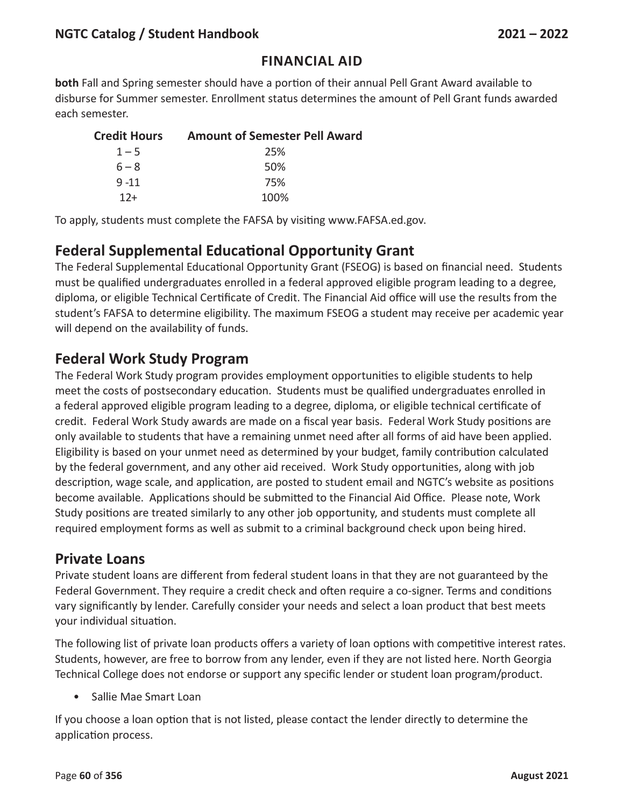## **Financial Aid**

**both** Fall and Spring semester should have a portion of their annual Pell Grant Award available to disburse for Summer semester. Enrollment status determines the amount of Pell Grant funds awarded each semester.

| <b>Credit Hours</b> | <b>Amount of Semester Pell Award</b> |
|---------------------|--------------------------------------|
| $1 - 5$             | 25%                                  |
| $6 - 8$             | .50%                                 |
| $9 - 11$            | 75%                                  |
| $12+$               | 100%                                 |

To apply, students must complete the FAFSA by visiting www.FAFSA.ed.gov.

# **Federal Supplemental Educational Opportunity Grant**

The Federal Supplemental Educational Opportunity Grant (FSEOG) is based on financial need. Students must be qualified undergraduates enrolled in a federal approved eligible program leading to a degree, diploma, or eligible Technical Certificate of Credit. The Financial Aid office will use the results from the student's FAFSA to determine eligibility. The maximum FSEOG a student may receive per academic year will depend on the availability of funds.

## **Federal Work Study Program**

The Federal Work Study program provides employment opportunities to eligible students to help meet the costs of postsecondary education. Students must be qualified undergraduates enrolled in a federal approved eligible program leading to a degree, diploma, or eligible technical certificate of credit. Federal Work Study awards are made on a fiscal year basis. Federal Work Study positions are only available to students that have a remaining unmet need after all forms of aid have been applied. Eligibility is based on your unmet need as determined by your budget, family contribution calculated by the federal government, and any other aid received. Work Study opportunities, along with job description, wage scale, and application, are posted to student email and NGTC's website as positions become available. Applications should be submitted to the Financial Aid Office. Please note, Work Study positions are treated similarly to any other job opportunity, and students must complete all required employment forms as well as submit to a criminal background check upon being hired.

## **Private Loans**

Private student loans are different from federal student loans in that they are not guaranteed by the Federal Government. They require a credit check and often require a co-signer. Terms and conditions vary significantly by lender. Carefully consider your needs and select a loan product that best meets your individual situation.

The following list of private loan products offers a variety of loan options with competitive interest rates. Students, however, are free to borrow from any lender, even if they are not listed here. North Georgia Technical College does not endorse or support any specific lender or student loan program/product.

• Sallie Mae Smart Loan

If you choose a loan option that is not listed, please contact the lender directly to determine the application process.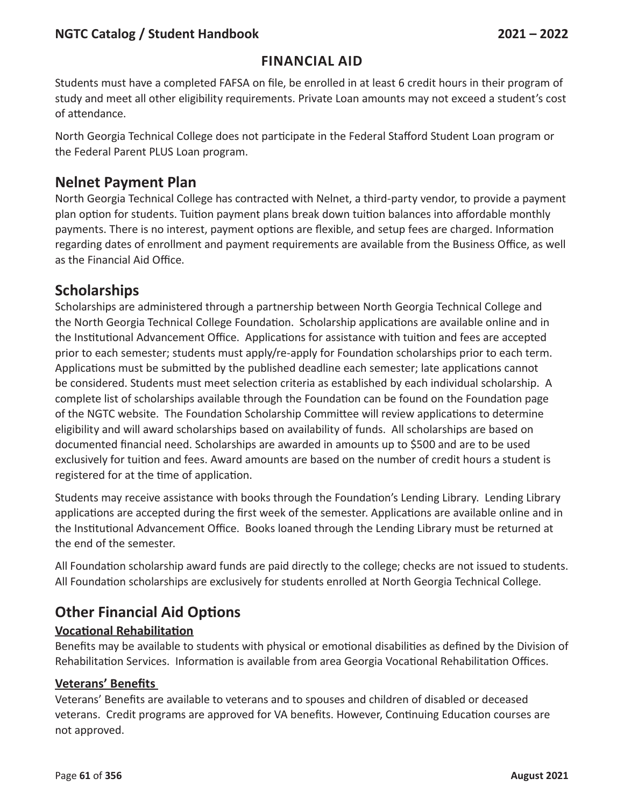### **Financial Aid**

Students must have a completed FAFSA on file, be enrolled in at least 6 credit hours in their program of study and meet all other eligibility requirements. Private Loan amounts may not exceed a student's cost of attendance.

North Georgia Technical College does not participate in the Federal Stafford Student Loan program or the Federal Parent PLUS Loan program.

## **Nelnet Payment Plan**

North Georgia Technical College has contracted with Nelnet, a third-party vendor, to provide a payment plan option for students. Tuition payment plans break down tuition balances into affordable monthly payments. There is no interest, payment options are flexible, and setup fees are charged. Information regarding dates of enrollment and payment requirements are available from the Business Office, as well as the Financial Aid Office.

# **Scholarships**

Scholarships are administered through a partnership between North Georgia Technical College and the North Georgia Technical College Foundation. Scholarship applications are available online and in the Institutional Advancement Office. Applications for assistance with tuition and fees are accepted prior to each semester; students must apply/re-apply for Foundation scholarships prior to each term. Applications must be submitted by the published deadline each semester; late applications cannot be considered. Students must meet selection criteria as established by each individual scholarship. A complete list of scholarships available through the Foundation can be found on the Foundation page of the NGTC website. The Foundation Scholarship Committee will review applications to determine eligibility and will award scholarships based on availability of funds. All scholarships are based on documented financial need. Scholarships are awarded in amounts up to \$500 and are to be used exclusively for tuition and fees. Award amounts are based on the number of credit hours a student is registered for at the time of application.

Students may receive assistance with books through the Foundation's Lending Library. Lending Library applications are accepted during the first week of the semester. Applications are available online and in the Institutional Advancement Office. Books loaned through the Lending Library must be returned at the end of the semester.

All Foundation scholarship award funds are paid directly to the college; checks are not issued to students. All Foundation scholarships are exclusively for students enrolled at North Georgia Technical College.

# **Other Financial Aid Options**

#### **Vocational Rehabilitation**

Benefits may be available to students with physical or emotional disabilities as defined by the Division of Rehabilitation Services. Information is available from area Georgia Vocational Rehabilitation Offices.

#### **Veterans' Benefits**

Veterans' Benefits are available to veterans and to spouses and children of disabled or deceased veterans. Credit programs are approved for VA benefits. However, Continuing Education courses are not approved.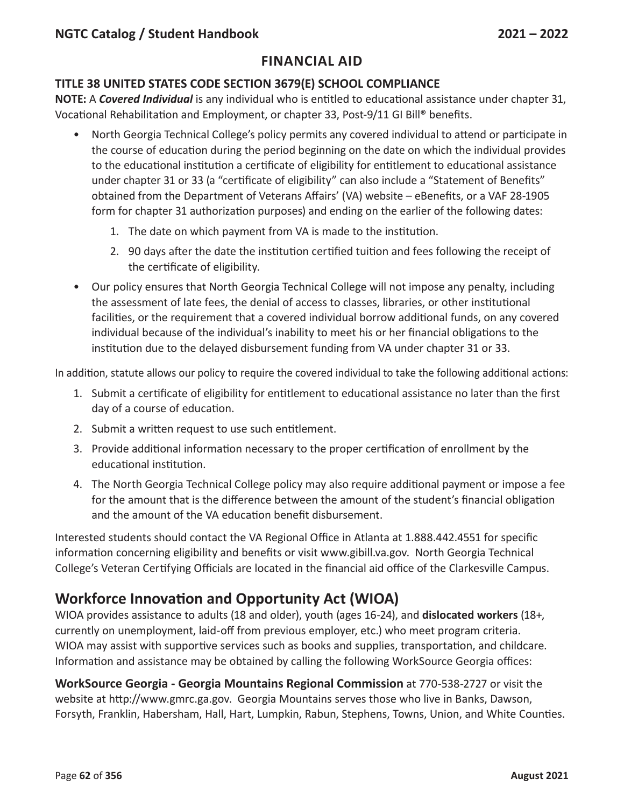#### **TITLE 38 UNITED STATES CODE SECTION 3679(E) SCHOOL COMPLIANCE**

**NOTE:** A *Covered Individual* is any individual who is entitled to educational assistance under chapter 31, Vocational Rehabilitation and Employment, or chapter 33, Post-9/11 GI Bill® benefits.

- North Georgia Technical College's policy permits any covered individual to attend or participate in the course of education during the period beginning on the date on which the individual provides to the educational institution a certificate of eligibility for entitlement to educational assistance under chapter 31 or 33 (a "certificate of eligibility" can also include a "Statement of Benefits" obtained from the Department of Veterans Affairs' (VA) website – eBenefits, or a VAF 28-1905 form for chapter 31 authorization purposes) and ending on the earlier of the following dates:
	- 1. The date on which payment from VA is made to the institution.
	- 2. 90 days after the date the institution certified tuition and fees following the receipt of the certificate of eligibility.
- Our policy ensures that North Georgia Technical College will not impose any penalty, including the assessment of late fees, the denial of access to classes, libraries, or other institutional facilities, or the requirement that a covered individual borrow additional funds, on any covered individual because of the individual's inability to meet his or her financial obligations to the institution due to the delayed disbursement funding from VA under chapter 31 or 33.

In addition, statute allows our policy to require the covered individual to take the following additional actions:

- 1. Submit a certificate of eligibility for entitlement to educational assistance no later than the first day of a course of education.
- 2. Submit a written request to use such entitlement.
- 3. Provide additional information necessary to the proper certification of enrollment by the educational institution.
- 4. The North Georgia Technical College policy may also require additional payment or impose a fee for the amount that is the difference between the amount of the student's financial obligation and the amount of the VA education benefit disbursement.

Interested students should contact the VA Regional Office in Atlanta at 1.888.442.4551 for specific information concerning eligibility and benefits or visit www.gibill.va.gov. North Georgia Technical College's Veteran Certifying Officials are located in the financial aid office of the Clarkesville Campus.

# **Workforce Innovation and Opportunity Act (WIOA)**

WIOA provides assistance to adults (18 and older), youth (ages 16-24), and **dislocated workers** (18+, currently on unemployment, laid-off from previous employer, etc.) who meet program criteria. WIOA may assist with supportive services such as books and supplies, transportation, and childcare. Information and assistance may be obtained by calling the following WorkSource Georgia offices:

**WorkSource Georgia - Georgia Mountains Regional Commission** at 770-538-2727 or visit the website at http://www.gmrc.ga.gov. Georgia Mountains serves those who live in Banks, Dawson, Forsyth, Franklin, Habersham, Hall, Hart, Lumpkin, Rabun, Stephens, Towns, Union, and White Counties.